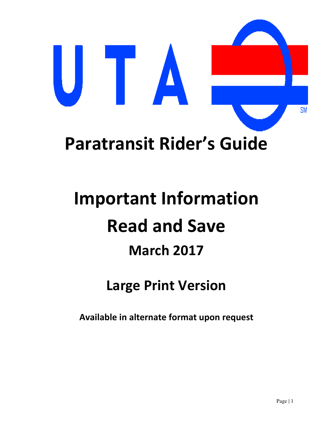

# **Paratransit Rider's Guide**

# **Important Information Read and Save March 2017**

# **Large Print Version**

**Available in alternate format upon request**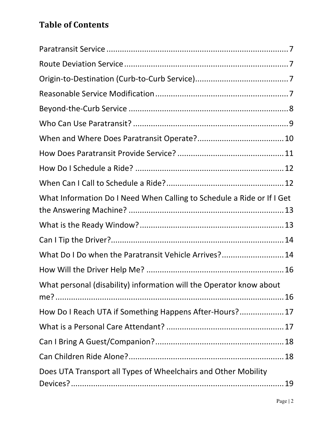# **Table of Contents**

| What Information Do I Need When Calling to Schedule a Ride or If I Get |
|------------------------------------------------------------------------|
|                                                                        |
|                                                                        |
| What Do I Do when the Paratransit Vehicle Arrives? 14                  |
|                                                                        |
| What personal (disability) information will the Operator know about    |
|                                                                        |
| How Do I Reach UTA if Something Happens After-Hours? 17                |
|                                                                        |
|                                                                        |
|                                                                        |
| Does UTA Transport all Types of Wheelchairs and Other Mobility         |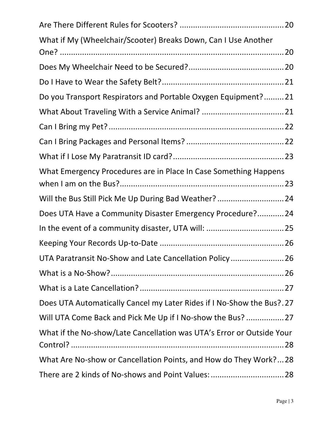| What if My (Wheelchair/Scooter) Breaks Down, Can I Use Another        |
|-----------------------------------------------------------------------|
|                                                                       |
|                                                                       |
| Do you Transport Respirators and Portable Oxygen Equipment?21         |
|                                                                       |
|                                                                       |
|                                                                       |
|                                                                       |
| What Emergency Procedures are in Place In Case Something Happens      |
| Will the Bus Still Pick Me Up During Bad Weather?  24                 |
| Does UTA Have a Community Disaster Emergency Procedure? 24            |
| In the event of a community disaster, UTA will:  25                   |
|                                                                       |
| UTA Paratransit No-Show and Late Cancellation Policy26                |
|                                                                       |
|                                                                       |
| Does UTA Automatically Cancel my Later Rides if I No-Show the Bus?.27 |
| Will UTA Come Back and Pick Me Up if I No-show the Bus?  27           |
| What if the No-show/Late Cancellation was UTA's Error or Outside Your |
| What Are No-show or Cancellation Points, and How do They Work?28      |
|                                                                       |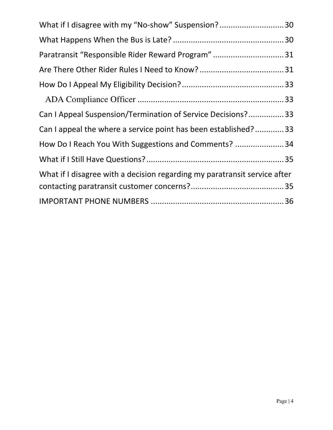| What if I disagree with my "No-show" Suspension?30                        |  |
|---------------------------------------------------------------------------|--|
|                                                                           |  |
| Paratransit "Responsible Rider Reward Program"31                          |  |
|                                                                           |  |
|                                                                           |  |
|                                                                           |  |
| Can I Appeal Suspension/Termination of Service Decisions?33               |  |
| Can I appeal the where a service point has been established?33            |  |
| How Do I Reach You With Suggestions and Comments?  34                     |  |
|                                                                           |  |
| What if I disagree with a decision regarding my paratransit service after |  |
|                                                                           |  |
|                                                                           |  |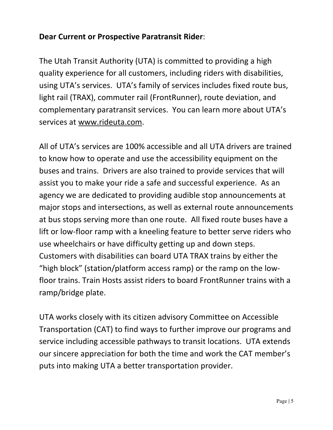#### **Dear Current or Prospective Paratransit Rider**:

The Utah Transit Authority (UTA) is committed to providing a high quality experience for all customers, including riders with disabilities, using UTA's services. UTA's family of services includes fixed route bus, light rail (TRAX), commuter rail (FrontRunner), route deviation, and complementary paratransit services. You can learn more about UTA's services at www.rideuta.com.

All of UTA's services are 100% accessible and all UTA drivers are trained to know how to operate and use the accessibility equipment on the buses and trains. Drivers are also trained to provide services that will assist you to make your ride a safe and successful experience. As an agency we are dedicated to providing audible stop announcements at major stops and intersections, as well as external route announcements at bus stops serving more than one route. All fixed route buses have a lift or low-floor ramp with a kneeling feature to better serve riders who use wheelchairs or have difficulty getting up and down steps. Customers with disabilities can board UTA TRAX trains by either the "high block" (station/platform access ramp) or the ramp on the lowfloor trains. Train Hosts assist riders to board FrontRunner trains with a ramp/bridge plate.

UTA works closely with its citizen advisory Committee on Accessible Transportation (CAT) to find ways to further improve our programs and service including accessible pathways to transit locations. UTA extends our sincere appreciation for both the time and work the CAT member's puts into making UTA a better transportation provider.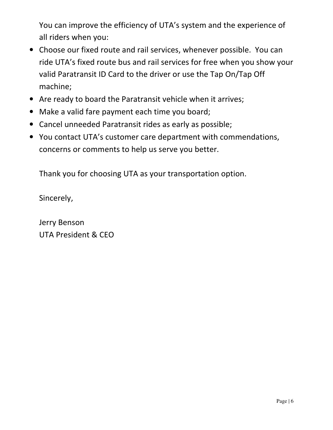You can improve the efficiency of UTA's system and the experience of all riders when you:

- Choose our fixed route and rail services, whenever possible. You can ride UTA's fixed route bus and rail services for free when you show your valid Paratransit ID Card to the driver or use the Tap On/Tap Off machine;
- Are ready to board the Paratransit vehicle when it arrives;
- Make a valid fare payment each time you board;
- Cancel unneeded Paratransit rides as early as possible;
- You contact UTA's customer care department with commendations, concerns or comments to help us serve you better.

Thank you for choosing UTA as your transportation option.

Sincerely,

Jerry Benson UTA President & CEO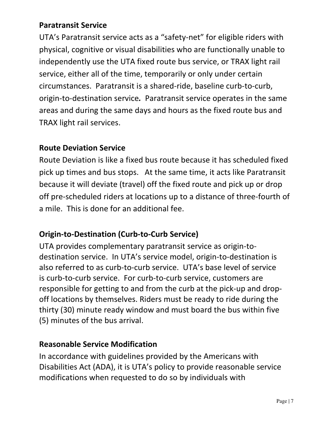#### **Paratransit Service**

UTA's Paratransit service acts as a "safety-net" for eligible riders with physical, cognitive or visual disabilities who are functionally unable to independently use the UTA fixed route bus service, or TRAX light rail service, either all of the time, temporarily or only under certain circumstances. Paratransit is a shared-ride, baseline curb-to-curb, origin-to-destination service*.* Paratransit service operates in the same areas and during the same days and hours as the fixed route bus and TRAX light rail services.

#### **Route Deviation Service**

Route Deviation is like a fixed bus route because it has scheduled fixed pick up times and bus stops. At the same time, it acts like Paratransit because it will deviate (travel) off the fixed route and pick up or drop off pre-scheduled riders at locations up to a distance of three-fourth of a mile. This is done for an additional fee.

#### **Origin-to-Destination (Curb-to-Curb Service)**

UTA provides complementary paratransit service as origin-todestination service. In UTA's service model, origin-to-destination is also referred to as curb-to-curb service. UTA's base level of service is curb-to-curb service. For curb-to-curb service, customers are responsible for getting to and from the curb at the pick-up and dropoff locations by themselves. Riders must be ready to ride during the thirty (30) minute ready window and must board the bus within five (5) minutes of the bus arrival.

#### **Reasonable Service Modification**

In accordance with guidelines provided by the Americans with Disabilities Act (ADA), it is UTA's policy to provide reasonable service modifications when requested to do so by individuals with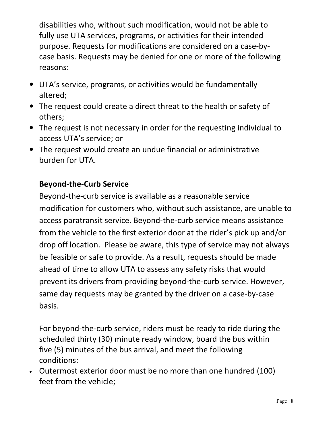disabilities who, without such modification, would not be able to fully use UTA services, programs, or activities for their intended purpose. Requests for modifications are considered on a case-bycase basis. Requests may be denied for one or more of the following reasons:

- UTA's service, programs, or activities would be fundamentally altered;
- The request could create a direct threat to the health or safety of others;
- The request is not necessary in order for the requesting individual to access UTA's service; or
- The request would create an undue financial or administrative burden for UTA.

#### **Beyond-the-Curb Service**

Beyond-the-curb service is available as a reasonable service modification for customers who, without such assistance, are unable to access paratransit service. Beyond-the-curb service means assistance from the vehicle to the first exterior door at the rider's pick up and/or drop off location. Please be aware, this type of service may not always be feasible or safe to provide. As a result, requests should be made ahead of time to allow UTA to assess any safety risks that would prevent its drivers from providing beyond-the-curb service. However, same day requests may be granted by the driver on a case-by-case basis.

For beyond-the-curb service, riders must be ready to ride during the scheduled thirty (30) minute ready window, board the bus within five (5) minutes of the bus arrival, and meet the following conditions:

• Outermost exterior door must be no more than one hundred (100) feet from the vehicle;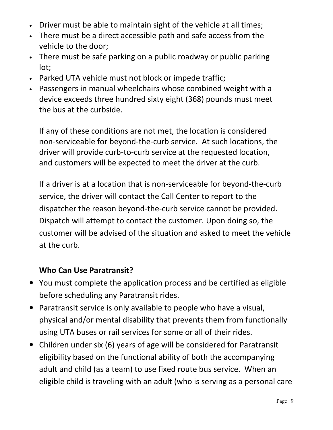- Driver must be able to maintain sight of the vehicle at all times;
- There must be a direct accessible path and safe access from the vehicle to the door;
- There must be safe parking on a public roadway or public parking lot;
- Parked UTA vehicle must not block or impede traffic;
- Passengers in manual wheelchairs whose combined weight with a device exceeds three hundred sixty eight (368) pounds must meet the bus at the curbside.

If any of these conditions are not met, the location is considered non-serviceable for beyond-the-curb service. At such locations, the driver will provide curb-to-curb service at the requested location, and customers will be expected to meet the driver at the curb.

If a driver is at a location that is non-serviceable for beyond-the-curb service, the driver will contact the Call Center to report to the dispatcher the reason beyond-the-curb service cannot be provided. Dispatch will attempt to contact the customer. Upon doing so, the customer will be advised of the situation and asked to meet the vehicle at the curb.

#### **Who Can Use Paratransit?**

- You must complete the application process and be certified as eligible before scheduling any Paratransit rides.
- Paratransit service is only available to people who have a visual, physical and/or mental disability that prevents them from functionally using UTA buses or rail services for some or all of their rides.
- Children under six (6) years of age will be considered for Paratransit eligibility based on the functional ability of both the accompanying adult and child (as a team) to use fixed route bus service. When an eligible child is traveling with an adult (who is serving as a personal care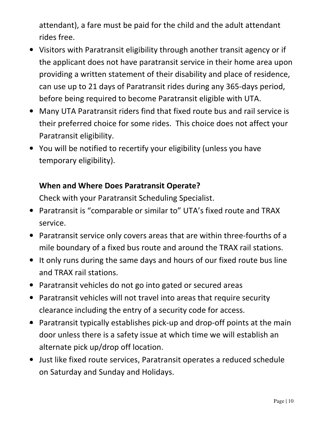attendant), a fare must be paid for the child and the adult attendant rides free.

- Visitors with Paratransit eligibility through another transit agency or if the applicant does not have paratransit service in their home area upon providing a written statement of their disability and place of residence, can use up to 21 days of Paratransit rides during any 365-days period, before being required to become Paratransit eligible with UTA.
- Many UTA Paratransit riders find that fixed route bus and rail service is their preferred choice for some rides. This choice does not affect your Paratransit eligibility.
- You will be notified to recertify your eligibility (unless you have temporary eligibility).

#### **When and Where Does Paratransit Operate?**

Check with your Paratransit Scheduling Specialist.

- Paratransit is "comparable or similar to" UTA's fixed route and TRAX service.
- Paratransit service only covers areas that are within three-fourths of a mile boundary of a fixed bus route and around the TRAX rail stations.
- It only runs during the same days and hours of our fixed route bus line and TRAX rail stations.
- Paratransit vehicles do not go into gated or secured areas
- Paratransit vehicles will not travel into areas that require security clearance including the entry of a security code for access.
- Paratransit typically establishes pick-up and drop-off points at the main door unless there is a safety issue at which time we will establish an alternate pick up/drop off location.
- Just like fixed route services, Paratransit operates a reduced schedule on Saturday and Sunday and Holidays.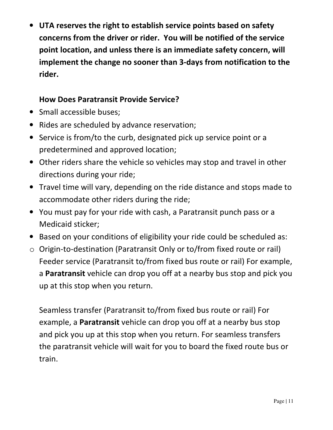• **UTA reserves the right to establish service points based on safety concerns from the driver or rider. You will be notified of the service point location, and unless there is an immediate safety concern, will implement the change no sooner than 3-days from notification to the rider.**

#### **How Does Paratransit Provide Service?**

- Small accessible buses;
- Rides are scheduled by advance reservation;
- Service is from/to the curb, designated pick up service point or a predetermined and approved location;
- Other riders share the vehicle so vehicles may stop and travel in other directions during your ride;
- Travel time will vary, depending on the ride distance and stops made to accommodate other riders during the ride;
- You must pay for your ride with cash, a Paratransit punch pass or a Medicaid sticker;
- Based on your conditions of eligibility your ride could be scheduled as:
- o Origin-to-destination (Paratransit Only or to/from fixed route or rail) Feeder service (Paratransit to/from fixed bus route or rail) For example, a **Paratransit** vehicle can drop you off at a nearby bus stop and pick you up at this stop when you return.

Seamless transfer (Paratransit to/from fixed bus route or rail) For example, a **Paratransit** vehicle can drop you off at a nearby bus stop and pick you up at this stop when you return. For seamless transfers the paratransit vehicle will wait for you to board the fixed route bus or train.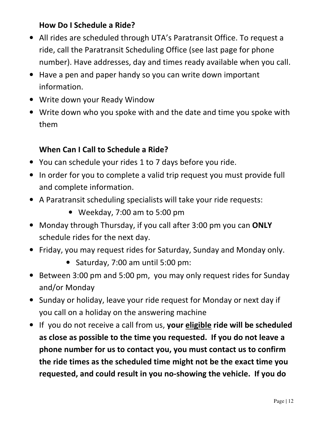#### **How Do I Schedule a Ride?**

- All rides are scheduled through UTA's Paratransit Office. To request a ride, call the Paratransit Scheduling Office (see last page for phone number). Have addresses, day and times ready available when you call.
- Have a pen and paper handy so you can write down important information.
- Write down your Ready Window
- Write down who you spoke with and the date and time you spoke with them

#### **When Can I Call to Schedule a Ride?**

- You can schedule your rides 1 to 7 days before you ride.
- In order for you to complete a valid trip request you must provide full and complete information.
- A Paratransit scheduling specialists will take your ride requests:
	- Weekday, 7:00 am to 5:00 pm
- Monday through Thursday, if you call after 3:00 pm you can **ONLY** schedule rides for the next day.
- Friday, you may request rides for Saturday, Sunday and Monday only.
	- Saturday, 7:00 am until 5:00 pm:
- Between 3:00 pm and 5:00 pm, you may only request rides for Sunday and/or Monday
- Sunday or holiday, leave your ride request for Monday or next day if you call on a holiday on the answering machine
- If you do not receive a call from us, **your eligible ride will be scheduled as close as possible to the time you requested. If you do not leave a phone number for us to contact you, you must contact us to confirm the ride times as the scheduled time might not be the exact time you requested, and could result in you no-showing the vehicle. If you do**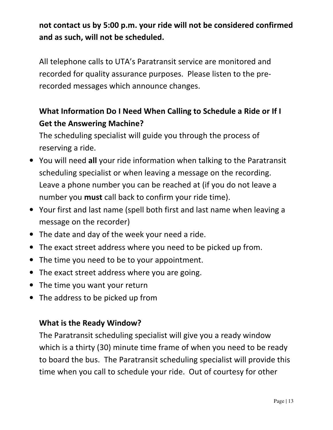# **not contact us by 5:00 p.m. your ride will not be considered confirmed and as such, will not be scheduled.**

All telephone calls to UTA's Paratransit service are monitored and recorded for quality assurance purposes. Please listen to the prerecorded messages which announce changes.

# **What Information Do I Need When Calling to Schedule a Ride or If I Get the Answering Machine?**

The scheduling specialist will guide you through the process of reserving a ride.

- You will need **all** your ride information when talking to the Paratransit scheduling specialist or when leaving a message on the recording. Leave a phone number you can be reached at (if you do not leave a number you **must** call back to confirm your ride time).
- Your first and last name (spell both first and last name when leaving a message on the recorder)
- The date and day of the week your need a ride.
- The exact street address where you need to be picked up from.
- The time you need to be to your appointment.
- The exact street address where you are going.
- The time you want your return
- The address to be picked up from

#### **What is the Ready Window?**

The Paratransit scheduling specialist will give you a ready window which is a thirty (30) minute time frame of when you need to be ready to board the bus. The Paratransit scheduling specialist will provide this time when you call to schedule your ride. Out of courtesy for other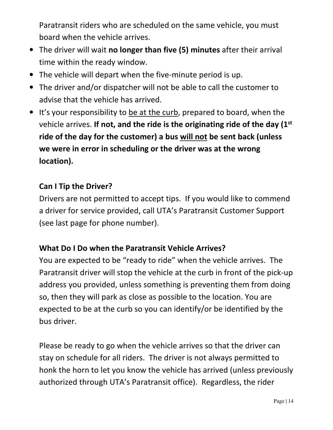Paratransit riders who are scheduled on the same vehicle, you must board when the vehicle arrives.

- The driver will wait **no longer than five (5) minutes** after their arrival time within the ready window.
- The vehicle will depart when the five-minute period is up.
- The driver and/or dispatcher will not be able to call the customer to advise that the vehicle has arrived.
- It's your responsibility to be at the curb, prepared to board, when the vehicle arrives. **If not, and the ride is the originating ride of the day (1st ride of the day for the customer) a bus will not be sent back (unless we were in error in scheduling or the driver was at the wrong location).**

#### **Can I Tip the Driver?**

Drivers are not permitted to accept tips. If you would like to commend a driver for service provided, call UTA's Paratransit Customer Support (see last page for phone number).

#### **What Do I Do when the Paratransit Vehicle Arrives?**

You are expected to be "ready to ride" when the vehicle arrives. The Paratransit driver will stop the vehicle at the curb in front of the pick-up address you provided, unless something is preventing them from doing so, then they will park as close as possible to the location. You are expected to be at the curb so you can identify/or be identified by the bus driver.

Please be ready to go when the vehicle arrives so that the driver can stay on schedule for all riders. The driver is not always permitted to honk the horn to let you know the vehicle has arrived (unless previously authorized through UTA's Paratransit office). Regardless, the rider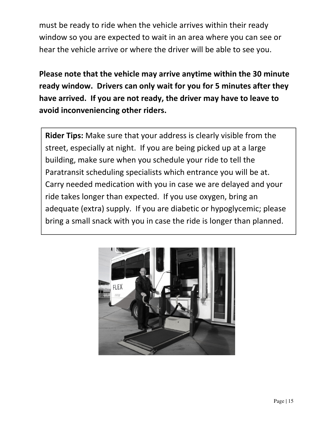must be ready to ride when the vehicle arrives within their ready window so you are expected to wait in an area where you can see or hear the vehicle arrive or where the driver will be able to see you.

**Please note that the vehicle may arrive anytime within the 30 minute ready window. Drivers can only wait for you for 5 minutes after they have arrived. If you are not ready, the driver may have to leave to avoid inconveniencing other riders.** 

**Rider Tips:** Make sure that your address is clearly visible from the street, especially at night. If you are being picked up at a large building, make sure when you schedule your ride to tell the Paratransit scheduling specialists which entrance you will be at. Carry needed medication with you in case we are delayed and your ride takes longer than expected. If you use oxygen, bring an adequate (extra) supply. If you are diabetic or hypoglycemic; please bring a small snack with you in case the ride is longer than planned.

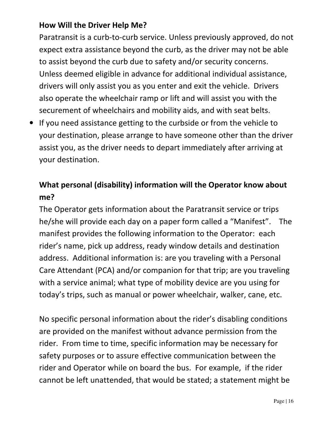#### **How Will the Driver Help Me?**

Paratransit is a curb-to-curb service. Unless previously approved, do not expect extra assistance beyond the curb, as the driver may not be able to assist beyond the curb due to safety and/or security concerns. Unless deemed eligible in advance for additional individual assistance, drivers will only assist you as you enter and exit the vehicle. Drivers also operate the wheelchair ramp or lift and will assist you with the securement of wheelchairs and mobility aids, and with seat belts.

• If you need assistance getting to the curbside or from the vehicle to your destination, please arrange to have someone other than the driver assist you, as the driver needs to depart immediately after arriving at your destination.

# **What personal (disability) information will the Operator know about me?**

The Operator gets information about the Paratransit service or trips he/she will provide each day on a paper form called a "Manifest". The manifest provides the following information to the Operator: each rider's name, pick up address, ready window details and destination address. Additional information is: are you traveling with a Personal Care Attendant (PCA) and/or companion for that trip; are you traveling with a service animal; what type of mobility device are you using for today's trips, such as manual or power wheelchair, walker, cane, etc.

No specific personal information about the rider's disabling conditions are provided on the manifest without advance permission from the rider. From time to time, specific information may be necessary for safety purposes or to assure effective communication between the rider and Operator while on board the bus. For example, if the rider cannot be left unattended, that would be stated; a statement might be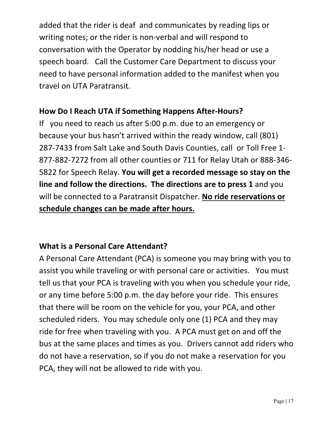added that the rider is deaf and communicates by reading lips or writing notes; or the rider is non-verbal and will respond to conversation with the Operator by nodding his/her head or use a speech board. Call the Customer Care Department to discuss your need to have personal information added to the manifest when you travel on UTA Paratransit.

#### **How Do I Reach UTA if Something Happens After-Hours?**

If you need to reach us after 5:00 p.m. due to an emergency or because your bus hasn't arrived within the ready window, call (801) 287-7433 from Salt Lake and South Davis Counties, call or Toll Free 1- 877-882-7272 from all other counties or 711 for Relay Utah or 888-346- 5822 for Speech Relay. **You will get a recorded message so stay on the line and follow the directions. The directions are to press 1** and you will be connected to a Paratransit Dispatcher. **No ride reservations or schedule changes can be made after hours.** 

#### **What is a Personal Care Attendant?**

A Personal Care Attendant (PCA) is someone you may bring with you to assist you while traveling or with personal care or activities. You must tell us that your PCA is traveling with you when you schedule your ride, or any time before 5:00 p.m. the day before your ride. This ensures that there will be room on the vehicle for you, your PCA, and other scheduled riders. You may schedule only one (1) PCA and they may ride for free when traveling with you. A PCA must get on and off the bus at the same places and times as you. Drivers cannot add riders who do not have a reservation, so if you do not make a reservation for you PCA, they will not be allowed to ride with you.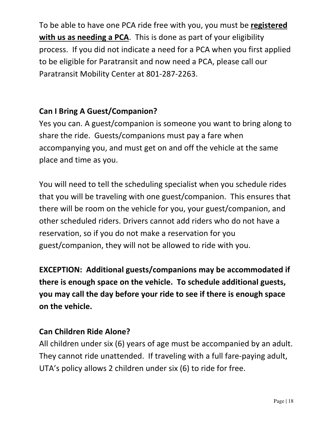To be able to have one PCA ride free with you, you must be **registered with us as needing a PCA**. This is done as part of your eligibility process. If you did not indicate a need for a PCA when you first applied to be eligible for Paratransit and now need a PCA, please call our Paratransit Mobility Center at 801-287-2263.

#### **Can I Bring A Guest/Companion?**

Yes you can. A guest/companion is someone you want to bring along to share the ride. Guests/companions must pay a fare when accompanying you, and must get on and off the vehicle at the same place and time as you.

You will need to tell the scheduling specialist when you schedule rides that you will be traveling with one guest/companion. This ensures that there will be room on the vehicle for you, your guest/companion, and other scheduled riders. Drivers cannot add riders who do not have a reservation, so if you do not make a reservation for you guest/companion, they will not be allowed to ride with you.

**EXCEPTION: Additional guests/companions may be accommodated if there is enough space on the vehicle. To schedule additional guests, you may call the day before your ride to see if there is enough space on the vehicle.** 

#### **Can Children Ride Alone?**

All children under six (6) years of age must be accompanied by an adult. They cannot ride unattended. If traveling with a full fare-paying adult, UTA's policy allows 2 children under six (6) to ride for free.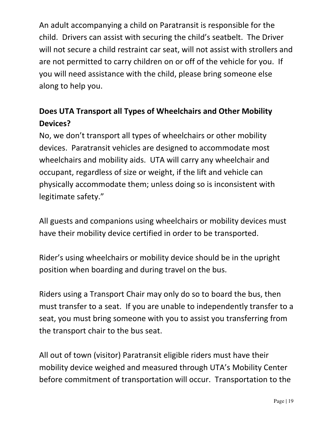An adult accompanying a child on Paratransit is responsible for the child. Drivers can assist with securing the child's seatbelt. The Driver will not secure a child restraint car seat, will not assist with strollers and are not permitted to carry children on or off of the vehicle for you. If you will need assistance with the child, please bring someone else along to help you.

# **Does UTA Transport all Types of Wheelchairs and Other Mobility Devices?**

No, we don't transport all types of wheelchairs or other mobility devices. Paratransit vehicles are designed to accommodate most wheelchairs and mobility aids. UTA will carry any wheelchair and occupant, regardless of size or weight, if the lift and vehicle can physically accommodate them; unless doing so is inconsistent with legitimate safety."

All guests and companions using wheelchairs or mobility devices must have their mobility device certified in order to be transported.

Rider's using wheelchairs or mobility device should be in the upright position when boarding and during travel on the bus.

Riders using a Transport Chair may only do so to board the bus, then must transfer to a seat. If you are unable to independently transfer to a seat, you must bring someone with you to assist you transferring from the transport chair to the bus seat.

All out of town (visitor) Paratransit eligible riders must have their mobility device weighed and measured through UTA's Mobility Center before commitment of transportation will occur. Transportation to the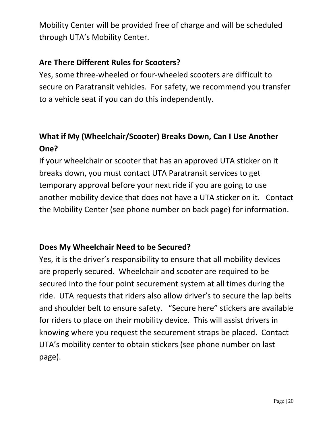Mobility Center will be provided free of charge and will be scheduled through UTA's Mobility Center.

#### **Are There Different Rules for Scooters?**

Yes, some three-wheeled or four-wheeled scooters are difficult to secure on Paratransit vehicles. For safety, we recommend you transfer to a vehicle seat if you can do this independently.

# **What if My (Wheelchair/Scooter) Breaks Down, Can I Use Another One?**

If your wheelchair or scooter that has an approved UTA sticker on it breaks down, you must contact UTA Paratransit services to get temporary approval before your next ride if you are going to use another mobility device that does not have a UTA sticker on it. Contact the Mobility Center (see phone number on back page) for information.

#### **Does My Wheelchair Need to be Secured?**

Yes, it is the driver's responsibility to ensure that all mobility devices are properly secured. Wheelchair and scooter are required to be secured into the four point securement system at all times during the ride. UTA requests that riders also allow driver's to secure the lap belts and shoulder belt to ensure safety. "Secure here" stickers are available for riders to place on their mobility device. This will assist drivers in knowing where you request the securement straps be placed. Contact UTA's mobility center to obtain stickers (see phone number on last page).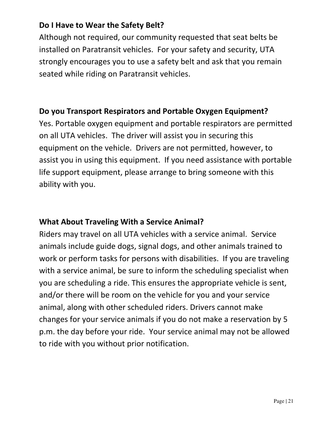#### **Do I Have to Wear the Safety Belt?**

Although not required, our community requested that seat belts be installed on Paratransit vehicles. For your safety and security, UTA strongly encourages you to use a safety belt and ask that you remain seated while riding on Paratransit vehicles.

#### **Do you Transport Respirators and Portable Oxygen Equipment?**

Yes. Portable oxygen equipment and portable respirators are permitted on all UTA vehicles. The driver will assist you in securing this equipment on the vehicle. Drivers are not permitted, however, to assist you in using this equipment. If you need assistance with portable life support equipment, please arrange to bring someone with this ability with you.

#### **What About Traveling With a Service Animal?**

Riders may travel on all UTA vehicles with a service animal. Service animals include guide dogs, signal dogs, and other animals trained to work or perform tasks for persons with disabilities. If you are traveling with a service animal, be sure to inform the scheduling specialist when you are scheduling a ride. This ensures the appropriate vehicle is sent, and/or there will be room on the vehicle for you and your service animal, along with other scheduled riders. Drivers cannot make changes for your service animals if you do not make a reservation by 5 p.m. the day before your ride. Your service animal may not be allowed to ride with you without prior notification.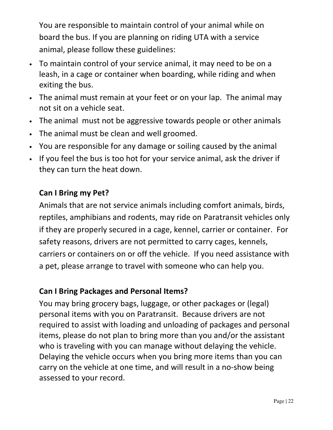You are responsible to maintain control of your animal while on board the bus. If you are planning on riding UTA with a service animal, please follow these guidelines:

- To maintain control of your service animal, it may need to be on a leash, in a cage or container when boarding, while riding and when exiting the bus.
- The animal must remain at your feet or on your lap. The animal may not sit on a vehicle seat.
- The animal must not be aggressive towards people or other animals
- The animal must be clean and well groomed.
- You are responsible for any damage or soiling caused by the animal
- If you feel the bus is too hot for your service animal, ask the driver if they can turn the heat down.

#### **Can I Bring my Pet?**

Animals that are not service animals including comfort animals, birds, reptiles, amphibians and rodents, may ride on Paratransit vehicles only if they are properly secured in a cage, kennel, carrier or container. For safety reasons, drivers are not permitted to carry cages, kennels, carriers or containers on or off the vehicle. If you need assistance with a pet, please arrange to travel with someone who can help you.

#### **Can I Bring Packages and Personal Items?**

You may bring grocery bags, luggage, or other packages or (legal) personal items with you on Paratransit. Because drivers are not required to assist with loading and unloading of packages and personal items, please do not plan to bring more than you and/or the assistant who is traveling with you can manage without delaying the vehicle. Delaying the vehicle occurs when you bring more items than you can carry on the vehicle at one time, and will result in a no-show being assessed to your record.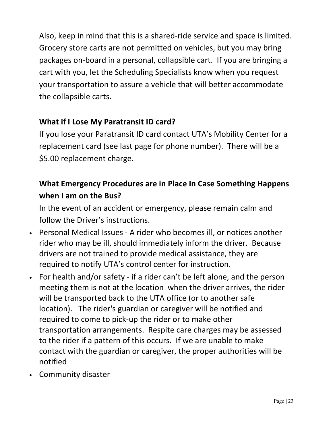Also, keep in mind that this is a shared-ride service and space is limited. Grocery store carts are not permitted on vehicles, but you may bring packages on-board in a personal, collapsible cart. If you are bringing a cart with you, let the Scheduling Specialists know when you request your transportation to assure a vehicle that will better accommodate the collapsible carts.

#### **What if I Lose My Paratransit ID card?**

If you lose your Paratransit ID card contact UTA's Mobility Center for a replacement card (see last page for phone number). There will be a \$5.00 replacement charge.

## **What Emergency Procedures are in Place In Case Something Happens when I am on the Bus?**

In the event of an accident or emergency, please remain calm and follow the Driver's instructions.

- Personal Medical Issues A rider who becomes ill, or notices another rider who may be ill, should immediately inform the driver. Because drivers are not trained to provide medical assistance, they are required to notify UTA's control center for instruction.
- For health and/or safety if a rider can't be left alone, and the person meeting them is not at the location when the driver arrives, the rider will be transported back to the UTA office (or to another safe location). The rider's guardian or caregiver will be notified and required to come to pick-up the rider or to make other transportation arrangements. Respite care charges may be assessed to the rider if a pattern of this occurs. If we are unable to make contact with the guardian or caregiver, the proper authorities will be notified
- Community disaster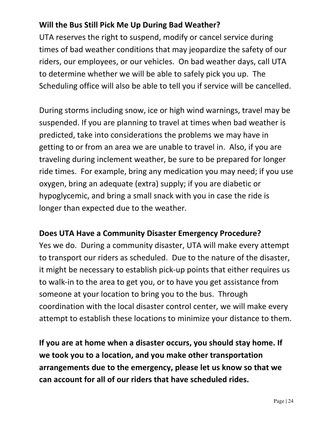#### **Will the Bus Still Pick Me Up During Bad Weather?**

UTA reserves the right to suspend, modify or cancel service during times of bad weather conditions that may jeopardize the safety of our riders, our employees, or our vehicles. On bad weather days, call UTA to determine whether we will be able to safely pick you up. The Scheduling office will also be able to tell you if service will be cancelled.

During storms including snow, ice or high wind warnings, travel may be suspended. If you are planning to travel at times when bad weather is predicted, take into considerations the problems we may have in getting to or from an area we are unable to travel in. Also, if you are traveling during inclement weather, be sure to be prepared for longer ride times. For example, bring any medication you may need; if you use oxygen, bring an adequate (extra) supply; if you are diabetic or hypoglycemic, and bring a small snack with you in case the ride is longer than expected due to the weather.

#### **Does UTA Have a Community Disaster Emergency Procedure?**

Yes we do. During a community disaster, UTA will make every attempt to transport our riders as scheduled. Due to the nature of the disaster, it might be necessary to establish pick-up points that either requires us to walk-in to the area to get you, or to have you get assistance from someone at your location to bring you to the bus. Through coordination with the local disaster control center, we will make every attempt to establish these locations to minimize your distance to them.

**If you are at home when a disaster occurs, you should stay home. If we took you to a location, and you make other transportation arrangements due to the emergency, please let us know so that we can account for all of our riders that have scheduled rides.**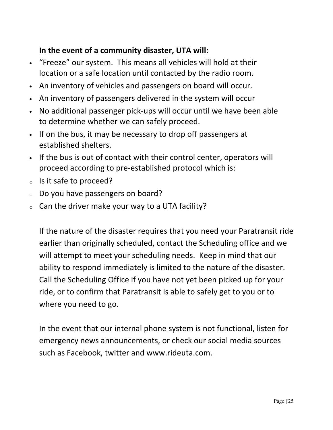#### **In the event of a community disaster, UTA will:**

- "Freeze" our system. This means all vehicles will hold at their location or a safe location until contacted by the radio room.
- An inventory of vehicles and passengers on board will occur.
- An inventory of passengers delivered in the system will occur
- No additional passenger pick-ups will occur until we have been able to determine whether we can safely proceed.
- If on the bus, it may be necessary to drop off passengers at established shelters.
- If the bus is out of contact with their control center, operators will proceed according to pre-established protocol which is:
- <sup>o</sup> Is it safe to proceed?
- <sup>o</sup> Do you have passengers on board?
- $\circ$  Can the driver make your way to a UTA facility?

If the nature of the disaster requires that you need your Paratransit ride earlier than originally scheduled, contact the Scheduling office and we will attempt to meet your scheduling needs. Keep in mind that our ability to respond immediately is limited to the nature of the disaster. Call the Scheduling Office if you have not yet been picked up for your ride, or to confirm that Paratransit is able to safely get to you or to where you need to go.

In the event that our internal phone system is not functional, listen for emergency news announcements, or check our social media sources such as Facebook, twitter and www.rideuta.com.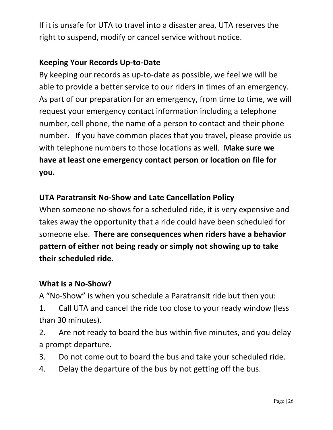If it is unsafe for UTA to travel into a disaster area, UTA reserves the right to suspend, modify or cancel service without notice.

#### **Keeping Your Records Up-to-Date**

By keeping our records as up-to-date as possible, we feel we will be able to provide a better service to our riders in times of an emergency. As part of our preparation for an emergency, from time to time, we will request your emergency contact information including a telephone number, cell phone, the name of a person to contact and their phone number. If you have common places that you travel, please provide us with telephone numbers to those locations as well. **Make sure we have at least one emergency contact person or location on file for you.** 

#### **UTA Paratransit No-Show and Late Cancellation Policy**

When someone no-shows for a scheduled ride, it is very expensive and takes away the opportunity that a ride could have been scheduled for someone else. **There are consequences when riders have a behavior pattern of either not being ready or simply not showing up to take their scheduled ride.** 

#### **What is a No-Show?**

A "No-Show" is when you schedule a Paratransit ride but then you:

 1. Call UTA and cancel the ride too close to your ready window (less than 30 minutes).

 2. Are not ready to board the bus within five minutes, and you delay a prompt departure.

- 3. Do not come out to board the bus and take your scheduled ride.
- 4. Delay the departure of the bus by not getting off the bus.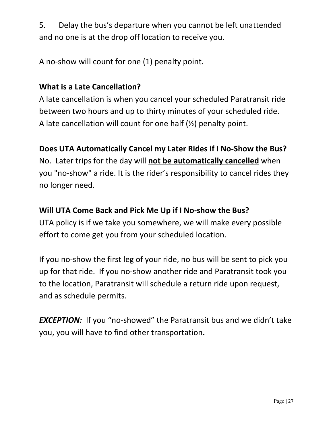5. Delay the bus's departure when you cannot be left unattended and no one is at the drop off location to receive you.

A no-show will count for one (1) penalty point.

#### **What is a Late Cancellation?**

A late cancellation is when you cancel your scheduled Paratransit ride between two hours and up to thirty minutes of your scheduled ride. A late cancellation will count for one half (½) penalty point.

#### **Does UTA Automatically Cancel my Later Rides if I No-Show the Bus?**

No. Later trips for the day will **not be automatically cancelled** when you "no-show" a ride. It is the rider's responsibility to cancel rides they no longer need.

#### **Will UTA Come Back and Pick Me Up if I No-show the Bus?**

UTA policy is if we take you somewhere, we will make every possible effort to come get you from your scheduled location.

If you no-show the first leg of your ride, no bus will be sent to pick you up for that ride. If you no-show another ride and Paratransit took you to the location, Paratransit will schedule a return ride upon request, and as schedule permits.

**EXCEPTION:** If you "no-showed" the Paratransit bus and we didn't take you, you will have to find other transportation**.**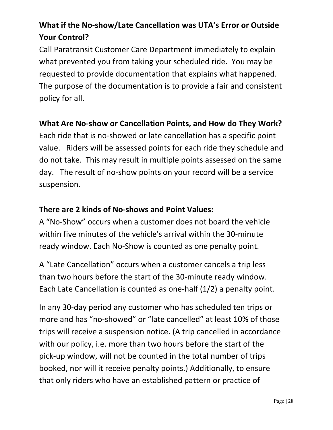# **What if the No-show/Late Cancellation was UTA's Error or Outside Your Control?**

Call Paratransit Customer Care Department immediately to explain what prevented you from taking your scheduled ride. You may be requested to provide documentation that explains what happened. The purpose of the documentation is to provide a fair and consistent policy for all.

#### **What Are No-show or Cancellation Points, and How do They Work?**

Each ride that is no-showed or late cancellation has a specific point value. Riders will be assessed points for each ride they schedule and do not take. This may result in multiple points assessed on the same day. The result of no-show points on your record will be a service suspension.

#### **There are 2 kinds of No-shows and Point Values:**

A "No-Show" occurs when a customer does not board the vehicle within five minutes of the vehicle's arrival within the 30-minute ready window. Each No-Show is counted as one penalty point.

A "Late Cancellation" occurs when a customer cancels a trip less than two hours before the start of the 30-minute ready window. Each Late Cancellation is counted as one-half (1/2) a penalty point.

In any 30-day period any customer who has scheduled ten trips or more and has "no-showed" or "late cancelled" at least 10% of those trips will receive a suspension notice. (A trip cancelled in accordance with our policy, i.e. more than two hours before the start of the pick-up window, will not be counted in the total number of trips booked, nor will it receive penalty points.) Additionally, to ensure that only riders who have an established pattern or practice of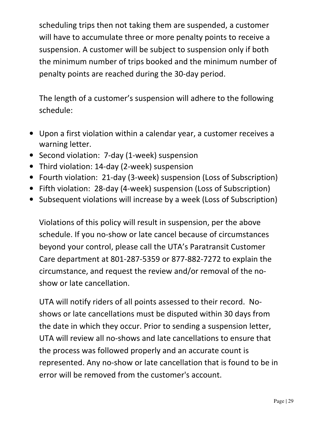scheduling trips then not taking them are suspended, a customer will have to accumulate three or more penalty points to receive a suspension. A customer will be subject to suspension only if both the minimum number of trips booked and the minimum number of penalty points are reached during the 30-day period.

The length of a customer's suspension will adhere to the following schedule:

- Upon a first violation within a calendar year, a customer receives a warning letter.
- Second violation: 7-day (1-week) suspension
- Third violation: 14-day (2-week) suspension
- Fourth violation: 21-day (3-week) suspension (Loss of Subscription)
- Fifth violation: 28-day (4-week) suspension (Loss of Subscription)
- Subsequent violations will increase by a week (Loss of Subscription)

Violations of this policy will result in suspension, per the above schedule. If you no-show or late cancel because of circumstances beyond your control, please call the UTA's Paratransit Customer Care department at 801-287-5359 or 877-882-7272 to explain the circumstance, and request the review and/or removal of the noshow or late cancellation.

UTA will notify riders of all points assessed to their record. Noshows or late cancellations must be disputed within 30 days from the date in which they occur. Prior to sending a suspension letter, UTA will review all no-shows and late cancellations to ensure that the process was followed properly and an accurate count is represented. Any no-show or late cancellation that is found to be in error will be removed from the customer's account.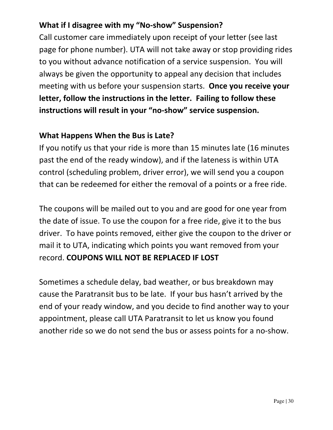#### **What if I disagree with my "No-show" Suspension?**

Call customer care immediately upon receipt of your letter (see last page for phone number). UTA will not take away or stop providing rides to you without advance notification of a service suspension. You will always be given the opportunity to appeal any decision that includes meeting with us before your suspension starts. **Once you receive your letter, follow the instructions in the letter. Failing to follow these instructions will result in your "no-show" service suspension.** 

#### **What Happens When the Bus is Late?**

If you notify us that your ride is more than 15 minutes late (16 minutes past the end of the ready window), and if the lateness is within UTA control (scheduling problem, driver error), we will send you a coupon that can be redeemed for either the removal of a points or a free ride.

The coupons will be mailed out to you and are good for one year from the date of issue. To use the coupon for a free ride, give it to the bus driver. To have points removed, either give the coupon to the driver or mail it to UTA, indicating which points you want removed from your record. **COUPONS WILL NOT BE REPLACED IF LOST**

Sometimes a schedule delay, bad weather, or bus breakdown may cause the Paratransit bus to be late. If your bus hasn't arrived by the end of your ready window, and you decide to find another way to your appointment, please call UTA Paratransit to let us know you found another ride so we do not send the bus or assess points for a no-show.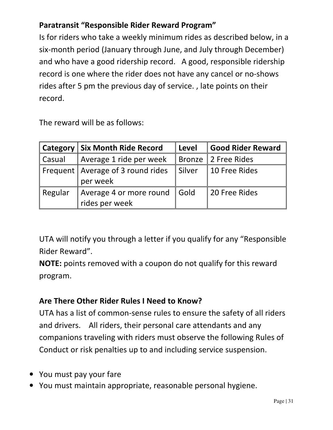## **Paratransit "Responsible Rider Reward Program"**

Is for riders who take a weekly minimum rides as described below, in a six-month period (January through June, and July through December) and who have a good ridership record. A good, responsible ridership record is one where the rider does not have any cancel or no-shows rides after 5 pm the previous day of service. , late points on their record.

The reward will be as follows:

|         | <b>Category Six Month Ride Record</b>           | Level    | Good Rider Reward   |
|---------|-------------------------------------------------|----------|---------------------|
| Casual  | Average 1 ride per week                         |          | Bronze 2 Free Rides |
|         | Frequent   Average of 3 round rides<br>per week | ∥ Silver | 10 Free Rides       |
| Regular | Average 4 or more round Gold<br>rides per week  |          | 20 Free Rides       |

UTA will notify you through a letter if you qualify for any "Responsible Rider Reward".

**NOTE:** points removed with a coupon do not qualify for this reward program.

## **Are There Other Rider Rules I Need to Know?**

UTA has a list of common-sense rules to ensure the safety of all riders and drivers. All riders, their personal care attendants and any companions traveling with riders must observe the following Rules of Conduct or risk penalties up to and including service suspension.

- You must pay your fare
- You must maintain appropriate, reasonable personal hygiene.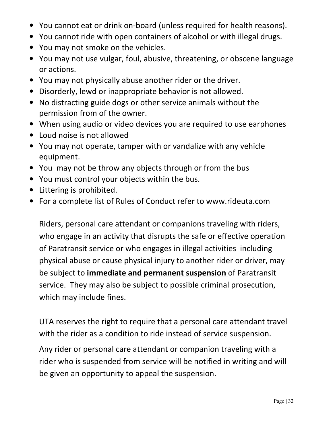- You cannot eat or drink on-board (unless required for health reasons).
- You cannot ride with open containers of alcohol or with illegal drugs.
- You may not smoke on the vehicles.
- You may not use vulgar, foul, abusive, threatening, or obscene language or actions.
- You may not physically abuse another rider or the driver.
- Disorderly, lewd or inappropriate behavior is not allowed.
- No distracting guide dogs or other service animals without the permission from of the owner.
- When using audio or video devices you are required to use earphones
- Loud noise is not allowed
- You may not operate, tamper with or vandalize with any vehicle equipment.
- You may not be throw any objects through or from the bus
- You must control your objects within the bus.
- Littering is prohibited.
- For a complete list of Rules of Conduct refer to www.rideuta.com

Riders, personal care attendant or companions traveling with riders, who engage in an activity that disrupts the safe or effective operation of Paratransit service or who engages in illegal activities including physical abuse or cause physical injury to another rider or driver, may be subject to **immediate and permanent suspension** of Paratransit service. They may also be subject to possible criminal prosecution, which may include fines.

UTA reserves the right to require that a personal care attendant travel with the rider as a condition to ride instead of service suspension.

Any rider or personal care attendant or companion traveling with a rider who is suspended from service will be notified in writing and will be given an opportunity to appeal the suspension.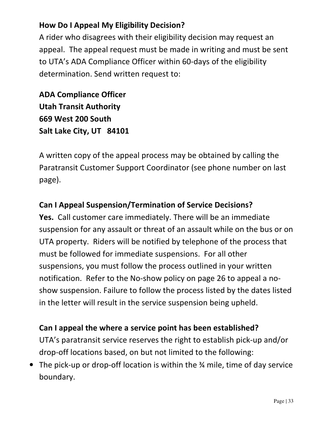#### **How Do I Appeal My Eligibility Decision?**

A rider who disagrees with their eligibility decision may request an appeal. The appeal request must be made in writing and must be sent to UTA's ADA Compliance Officer within 60-days of the eligibility determination. Send written request to:

**ADA Compliance Officer Utah Transit Authority 669 West 200 South Salt Lake City, UT 84101**

A written copy of the appeal process may be obtained by calling the Paratransit Customer Support Coordinator (see phone number on last page).

#### **Can I Appeal Suspension/Termination of Service Decisions?**

**Yes.** Call customer care immediately. There will be an immediate suspension for any assault or threat of an assault while on the bus or on UTA property. Riders will be notified by telephone of the process that must be followed for immediate suspensions. For all other suspensions, you must follow the process outlined in your written notification. Refer to the No-show policy on page 26 to appeal a noshow suspension. Failure to follow the process listed by the dates listed in the letter will result in the service suspension being upheld.

#### **Can I appeal the where a service point has been established?**

UTA's paratransit service reserves the right to establish pick-up and/or drop-off locations based, on but not limited to the following:

• The pick-up or drop-off location is within the ¾ mile, time of day service boundary.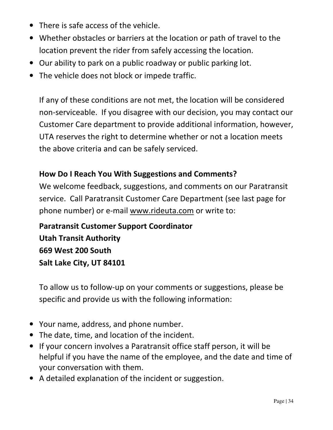- There is safe access of the vehicle.
- Whether obstacles or barriers at the location or path of travel to the location prevent the rider from safely accessing the location.
- Our ability to park on a public roadway or public parking lot.
- The vehicle does not block or impede traffic.

If any of these conditions are not met, the location will be considered non-serviceable. If you disagree with our decision, you may contact our Customer Care department to provide additional information, however, UTA reserves the right to determine whether or not a location meets the above criteria and can be safely serviced.

#### **How Do I Reach You With Suggestions and Comments?**

We welcome feedback, suggestions, and comments on our Paratransit service. Call Paratransit Customer Care Department (see last page for phone number) or e-mail www.rideuta.com or write to:

**Paratransit Customer Support Coordinator Utah Transit Authority 669 West 200 South Salt Lake City, UT 84101** 

To allow us to follow-up on your comments or suggestions, please be specific and provide us with the following information:

- Your name, address, and phone number.
- The date, time, and location of the incident.
- If your concern involves a Paratransit office staff person, it will be helpful if you have the name of the employee, and the date and time of your conversation with them.
- A detailed explanation of the incident or suggestion.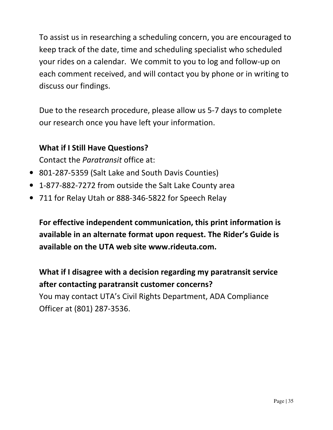To assist us in researching a scheduling concern, you are encouraged to keep track of the date, time and scheduling specialist who scheduled your rides on a calendar. We commit to you to log and follow-up on each comment received, and will contact you by phone or in writing to discuss our findings.

Due to the research procedure, please allow us 5-7 days to complete our research once you have left your information.

#### **What if I Still Have Questions?**

Contact the *Paratransit* office at:

- 801-287-5359 (Salt Lake and South Davis Counties)
- 1-877-882-7272 from outside the Salt Lake County area
- 711 for Relay Utah or 888-346-5822 for Speech Relay

**For effective independent communication, this print information is available in an alternate format upon request. The Rider's Guide is available on the UTA web site www.rideuta.com.** 

**What if I disagree with a decision regarding my paratransit service after contacting paratransit customer concerns?** 

You may contact UTA's Civil Rights Department, ADA Compliance Officer at (801) 287-3536.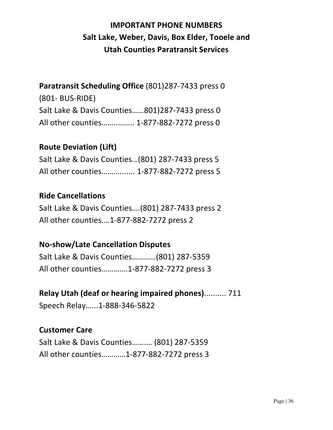# **IMPORTANT PHONE NUMBERS Salt Lake, Weber, Davis, Box Elder, Tooele and Utah Counties Paratransit Services**

#### **Paratransit Scheduling Office** (801)287-7433 press 0

(801- BUS-RIDE) Salt Lake & Davis Counties……801)287-7433 press 0 All other counties……..…….. 1-877-882-7272 press 0

#### **Route Deviation (Lift)**

Salt Lake & Davis Counties…(801) 287-7433 press 5 All other counties………....... 1-877-882-7272 press 5

#### **Ride Cancellations**

Salt Lake & Davis Counties….(801) 287-7433 press 2 All other counties.…1-877-882-7272 press 2

#### **No-show/Late Cancellation Disputes**

Salt Lake & Davis Counties…………(801) 287-5359 All other counties………….1-877-882-7272 press 3

# **Relay Utah (deaf or hearing impaired phones)**.......... 711

Speech Relay…...1-888-346-5822

#### **Customer Care**

Salt Lake & Davis Counties…….… (801) 287-5359 All other counties…………1-877-882-7272 press 3